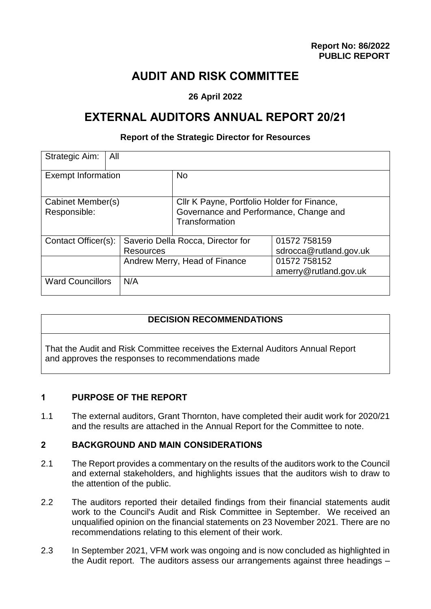## **AUDIT AND RISK COMMITTEE**

## **26 April 2022**

# **EXTERNAL AUDITORS ANNUAL REPORT 20/21**

#### **Report of the Strategic Director for Resources**

| Strategic Aim:<br>All             |                                   |                                                                                                         |                        |
|-----------------------------------|-----------------------------------|---------------------------------------------------------------------------------------------------------|------------------------|
| <b>Exempt Information</b>         |                                   | <b>No</b>                                                                                               |                        |
| Cabinet Member(s)<br>Responsible: |                                   | Cllr K Payne, Portfolio Holder for Finance,<br>Governance and Performance, Change and<br>Transformation |                        |
| Contact Officer(s):               | Saverio Della Rocca, Director for |                                                                                                         | 01572 758159           |
|                                   | Resources                         |                                                                                                         | sdrocca@rutland.gov.uk |
|                                   | Andrew Merry, Head of Finance     |                                                                                                         | 01572 758152           |
|                                   |                                   |                                                                                                         | amerry@rutland.gov.uk  |
| <b>Ward Councillors</b>           | N/A                               |                                                                                                         |                        |

#### **DECISION RECOMMENDATIONS**

That the Audit and Risk Committee receives the External Auditors Annual Report and approves the responses to recommendations made

### **1 PURPOSE OF THE REPORT**

1.1 The external auditors, Grant Thornton, have completed their audit work for 2020/21 and the results are attached in the Annual Report for the Committee to note.

#### **2 BACKGROUND AND MAIN CONSIDERATIONS**

- 2.1 The Report provides a commentary on the results of the auditors work to the Council and external stakeholders, and highlights issues that the auditors wish to draw to the attention of the public.
- 2.2 The auditors reported their detailed findings from their financial statements audit work to the Council's Audit and Risk Committee in September. We received an unqualified opinion on the financial statements on 23 November 2021. There are no recommendations relating to this element of their work.
- 2.3 In September 2021, VFM work was ongoing and is now concluded as highlighted in the Audit report. The auditors assess our arrangements against three headings –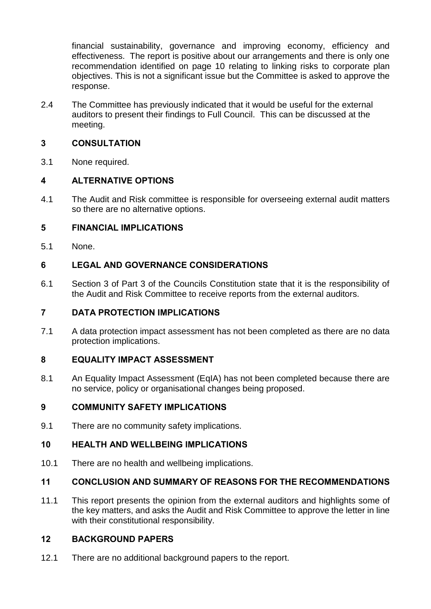financial sustainability, governance and improving economy, efficiency and effectiveness. The report is positive about our arrangements and there is only one recommendation identified on page 10 relating to linking risks to corporate plan objectives. This is not a significant issue but the Committee is asked to approve the response.

2.4 The Committee has previously indicated that it would be useful for the external auditors to present their findings to Full Council. This can be discussed at the meeting.

### **3 CONSULTATION**

3.1 None required.

## **4 ALTERNATIVE OPTIONS**

4.1 The Audit and Risk committee is responsible for overseeing external audit matters so there are no alternative options.

### **5 FINANCIAL IMPLICATIONS**

5.1 None.

## **6 LEGAL AND GOVERNANCE CONSIDERATIONS**

6.1 Section 3 of Part 3 of the Councils Constitution state that it is the responsibility of the Audit and Risk Committee to receive reports from the external auditors.

### **7 DATA PROTECTION IMPLICATIONS**

7.1 A data protection impact assessment has not been completed as there are no data protection implications.

### **8 EQUALITY IMPACT ASSESSMENT**

8.1 An Equality Impact Assessment (EqIA) has not been completed because there are no service, policy or organisational changes being proposed.

### **9 COMMUNITY SAFETY IMPLICATIONS**

9.1 There are no community safety implications.

#### **10 HEALTH AND WELLBEING IMPLICATIONS**

10.1 There are no health and wellbeing implications.

### **11 CONCLUSION AND SUMMARY OF REASONS FOR THE RECOMMENDATIONS**

11.1 This report presents the opinion from the external auditors and highlights some of the key matters, and asks the Audit and Risk Committee to approve the letter in line with their constitutional responsibility.

### **12 BACKGROUND PAPERS**

12.1 There are no additional background papers to the report.